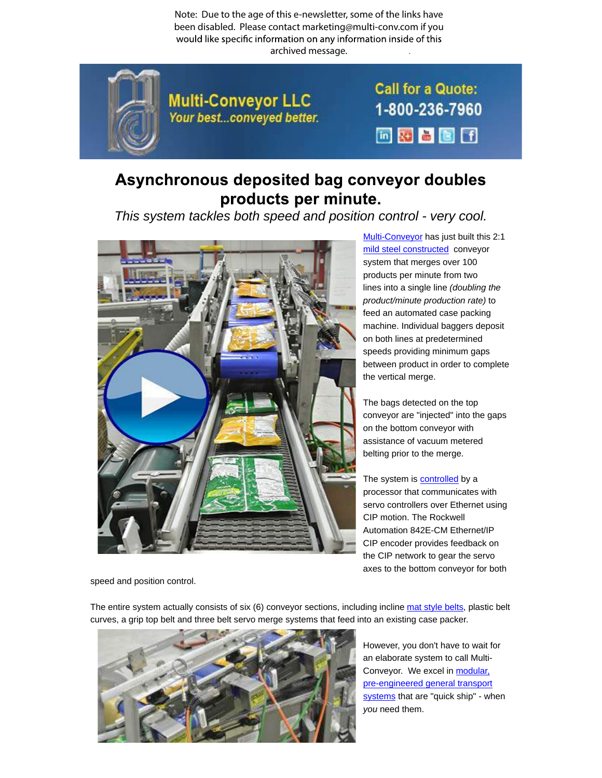Note: Due to the age of this e-newsletter, some of the links have been disabled. Please contact marketing@multi-conv.com if you would like specific information on any information inside of this archived message..



**Multi-Conveyor LLC** Your best...conveyed better. **Call for a Quote:** 1-800-236-7960 同对著图面

## Asynchronous deposited bag conveyor doubles products per minute.

This system tackles both speed and position control - very cool.



Multi-Conveyor has just built this 2:1 mild steel constructed conveyor system that merges over 100 products per minute from two lines into a single line (doubling the product/minute production rate) to feed an automated case packing machine. Individual baggers deposit on both lines at predetermined speeds providing minimum gaps between product in order to complete the vertical merge.

The bags detected on the top conveyor are "injected" into the gaps on the bottom conveyor with assistance of vacuum metered belting prior to the merge.

The system is controlled by a processor that communicates with servo controllers over Ethernet using CIP motion. The Rockwell Automation 842E-CM Ethernet/IP CIP encoder provides feedback on the CIP network to gear the servo axes to the bottom conveyor for both

speed and position control.

The entire system actually consists of six (6) conveyor sections, including incline mat style belts, plastic belt curves, a grip top belt and three belt servo merge systems that feed into an existing case packer.



However, you don't have to wait for an elaborate system to call Multi-Conveyor. We excel in modular, pre-engineered general transport systems that are "quick ship" - when you need them.